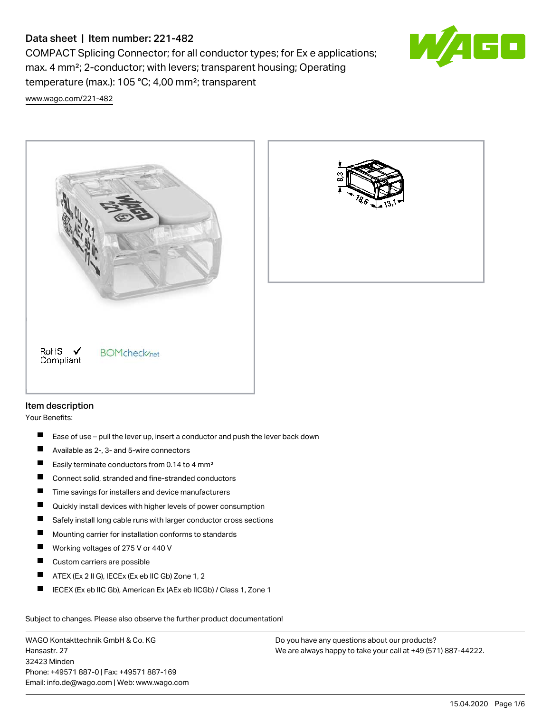# Data sheet | Item number: 221-482

COMPACT Splicing Connector; for all conductor types; for Ex e applications; max. 4 mm²; 2-conductor; with levers; transparent housing; Operating temperature (max.): 105 °C; 4,00 mm²; transparent



[www.wago.com/221-482](http://www.wago.com/221-482)



# Item description

Your Benefits:

- $\blacksquare$ Ease of use – pull the lever up, insert a conductor and push the lever back down
- $\blacksquare$ Available as 2-, 3- and 5-wire connectors
- $\blacksquare$ Easily terminate conductors from 0.14 to 4 mm²
- $\blacksquare$ Connect solid, stranded and fine-stranded conductors
- П Time savings for installers and device manufacturers
- П Quickly install devices with higher levels of power consumption
- П Safely install long cable runs with larger conductor cross sections
- П Mounting carrier for installation conforms to standards
- П Working voltages of 275 V or 440 V
- $\blacksquare$ Custom carriers are possible
- П ATEX (Ex 2 II G), IECEx (Ex eb IIC Gb) Zone 1, 2
- П IECEX (Ex eb IIC Gb), American Ex (AEx eb IICGb) / Class 1, Zone 1

Subject to changes. Please also observe the further product documentation!

WAGO Kontakttechnik GmbH & Co. KG Hansastr. 27 32423 Minden Phone: +49571 887-0 | Fax: +49571 887-169 Email: info.de@wago.com | Web: www.wago.com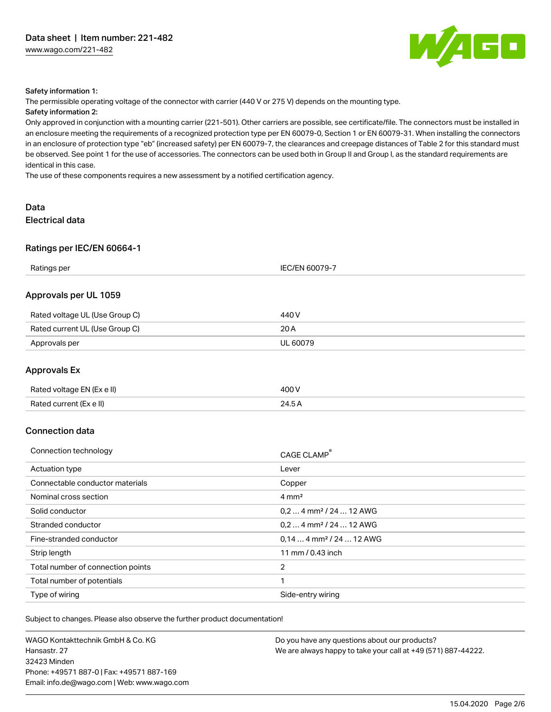

#### Safety information 1:

The permissible operating voltage of the connector with carrier (440 V or 275 V) depends on the mounting type. Safety information 2:

## Only approved in conjunction with a mounting carrier (221-501). Other carriers are possible, see certificate/file. The connectors must be installed in an enclosure meeting the requirements of a recognized protection type per EN 60079-0, Section 1 or EN 60079-31. When installing the connectors in an enclosure of protection type "eb" (increased safety) per EN 60079-7, the clearances and creepage distances of Table 2 for this standard must be observed. See point 1 for the use of accessories. The connectors can be used both in Group II and Group I, as the standard requirements are identical in this case.

The use of these components requires a new assessment by a notified certification agency.

# Data Electrical data

#### Ratings per IEC/EN 60664-1

| Ratings per                    | <b>IEC/EN 60079-7</b> |  |
|--------------------------------|-----------------------|--|
| Approvals per UL 1059          |                       |  |
| Rated voltage UL (Use Group C) | 440 V                 |  |
| Rated current UL (Use Group C) | 20 A                  |  |
| Approvals per                  | <b>UL 60079</b>       |  |
| <b>Approvals Ex</b>            |                       |  |
| Rated voltage EN (Ex e II)     | 400 V                 |  |
| Rated current (Ex e II)        | 24.5A                 |  |

#### Connection data

| Connection technology             | CAGE CLAMP®                           |
|-----------------------------------|---------------------------------------|
| Actuation type                    | Lever                                 |
| Connectable conductor materials   | Copper                                |
| Nominal cross section             | $4 \text{ mm}^2$                      |
| Solid conductor                   | $0, 2$ 4 mm <sup>2</sup> / 24  12 AWG |
| Stranded conductor                | $0.24$ mm <sup>2</sup> / 24  12 AWG   |
| Fine-stranded conductor           | $0.144$ mm <sup>2</sup> / 24  12 AWG  |
| Strip length                      | 11 mm / 0.43 inch                     |
| Total number of connection points | $\overline{2}$                        |
| Total number of potentials        |                                       |
| Type of wiring                    | Side-entry wiring                     |

Subject to changes. Please also observe the further product documentation!

WAGO Kontakttechnik GmbH & Co. KG Hansastr. 27 32423 Minden Phone: +49571 887-0 | Fax: +49571 887-169 Email: info.de@wago.com | Web: www.wago.com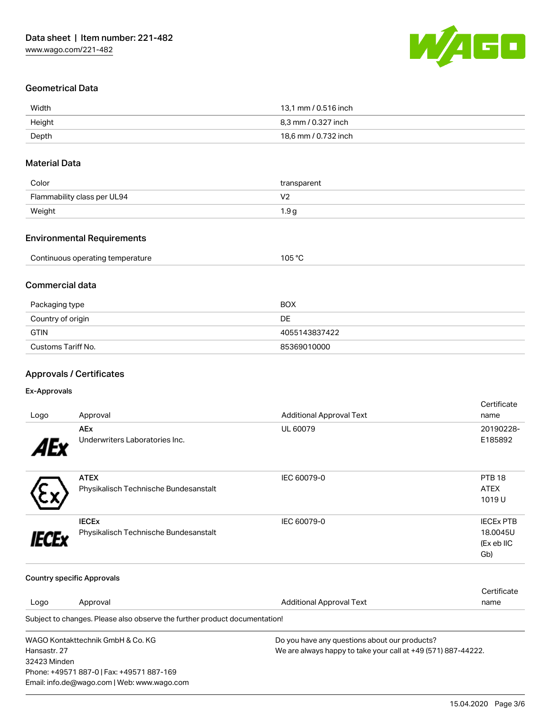

# Geometrical Data

| Width  | 13,1 mm / 0.516 inch |
|--------|----------------------|
| Height | 8.3 mm / 0.327 inch  |
| Depth  | 18,6 mm / 0.732 inch |

# Material Data

| Color                       | transparent |
|-----------------------------|-------------|
| Flammability class per UL94 | V.          |
| Weight                      | 1.9 a       |

## Environmental Requirements

| Continuous operating temperature | $10E$ $\degree$ C |
|----------------------------------|-------------------|
|                                  | `∪ບ               |
|                                  |                   |

## Commercial data

| Packaging type     | <b>BOX</b>    |
|--------------------|---------------|
| Country of origin  | DE            |
| <b>GTIN</b>        | 4055143837422 |
| Customs Tariff No. | 85369010000   |

## Approvals / Certificates

# Ex-Approvals

| Logo         | Approval                                                                           | <b>Additional Approval Text</b>                               | Certificate<br>name |
|--------------|------------------------------------------------------------------------------------|---------------------------------------------------------------|---------------------|
|              | <b>AEx</b>                                                                         | UL 60079                                                      | 20190228-           |
|              | Underwriters Laboratories Inc.                                                     |                                                               | E185892             |
|              | <b>ATEX</b>                                                                        | IEC 60079-0                                                   | <b>PTB 18</b>       |
|              | Physikalisch Technische Bundesanstalt                                              |                                                               | <b>ATEX</b>         |
|              |                                                                                    |                                                               | 1019U               |
|              | <b>IECEX</b>                                                                       | IEC 60079-0                                                   | <b>IECEX PTB</b>    |
|              | Physikalisch Technische Bundesanstalt                                              |                                                               | 18,0045U            |
|              |                                                                                    |                                                               | (Ex eb IIC          |
|              |                                                                                    |                                                               | Gb)                 |
|              | <b>Country specific Approvals</b>                                                  |                                                               |                     |
|              |                                                                                    |                                                               | Certificate         |
| Logo         | Approval                                                                           | <b>Additional Approval Text</b>                               | name                |
|              | Subject to changes. Please also observe the further product documentation!         |                                                               |                     |
|              | WAGO Kontakttechnik GmbH & Co. KG<br>Do you have any questions about our products? |                                                               |                     |
| Hansastr, 27 |                                                                                    | We are always happy to take your call at +49 (571) 887-44222. |                     |
| 32423 Minden |                                                                                    |                                                               |                     |
|              | Phone: +49571 887-0   Fax: +49571 887-169                                          |                                                               |                     |
|              | Email: info.de@wago.com   Web: www.wago.com                                        |                                                               |                     |

15.04.2020 Page 3/6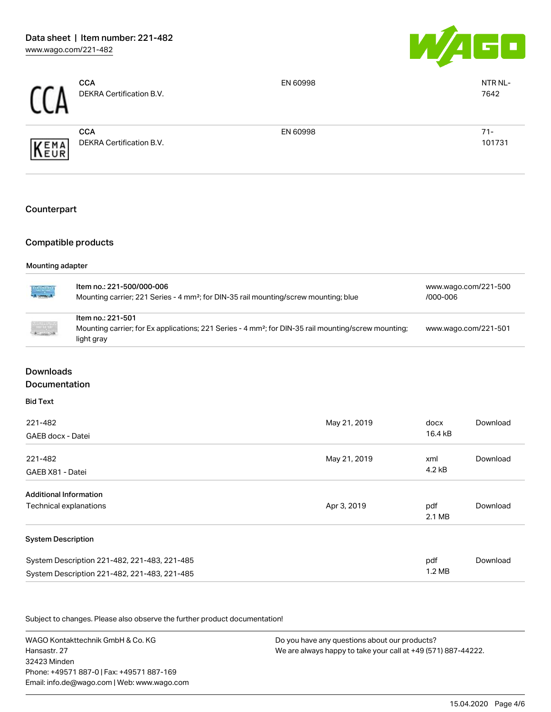

| rr  | <b>CCA</b><br>DEKRA Certification B.V. | EN 60998 | NTR NL-<br>7642  |
|-----|----------------------------------------|----------|------------------|
| EMA | <b>CCA</b><br>DEKRA Certification B.V. | EN 60998 | $71 -$<br>101731 |

### **Counterpart**

## Compatible products

#### Mounting adapter

| indhijan<br>Martina  | Item no.: 221-500/000-006<br>Mounting carrier; 221 Series - 4 mm <sup>2</sup> ; for DIN-35 rail mounting/screw mounting; blue                       | www.wago.com/221-500<br>/000-006 |
|----------------------|-----------------------------------------------------------------------------------------------------------------------------------------------------|----------------------------------|
| $\ddot{\phantom{a}}$ | Item no.: 221-501<br>Mounting carrier; for Ex applications; 221 Series - 4 mm <sup>2</sup> ; for DIN-35 rail mounting/screw mounting;<br>light gray | www.wago.com/221-501             |

# Downloads

# Documentation

| 221-482                                      | May 21, 2019 | docx             | Download |
|----------------------------------------------|--------------|------------------|----------|
| GAEB docx - Datei                            |              | 16.4 kB          |          |
| 221-482                                      | May 21, 2019 | xml              | Download |
| GAEB X81 - Datei                             |              | 4.2 kB           |          |
| <b>Additional Information</b>                |              |                  |          |
| Technical explanations                       | Apr 3, 2019  | pdf              | Download |
|                                              |              | 2.1 MB           |          |
| <b>System Description</b>                    |              |                  |          |
| System Description 221-482, 221-483, 221-485 |              | pdf              | Download |
| System Description 221-482, 221-483, 221-485 |              | $1.2 \text{ MB}$ |          |

Subject to changes. Please also observe the further product documentation!

WAGO Kontakttechnik GmbH & Co. KG Hansastr. 27 32423 Minden Phone: +49571 887-0 | Fax: +49571 887-169 Email: info.de@wago.com | Web: www.wago.com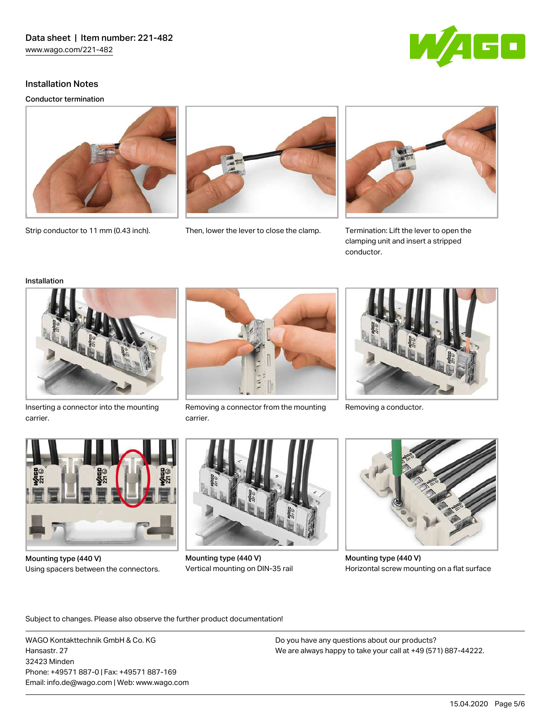

Conductor termination





Strip conductor to 11 mm (0.43 inch). Then, lower the lever to close the clamp.





Termination: Lift the lever to open the clamping unit and insert a stripped conductor.

#### Installation



Inserting a connector into the mounting carrier.



Removing a connector from the mounting Removing a conductor. carrier.





Mounting type (440 V) Using spacers between the connectors.



Mounting type (440 V) Vertical mounting on DIN-35 rail



Mounting type (440 V) Horizontal screw mounting on a flat surface

Subject to changes. Please also observe the further product documentation!

WAGO Kontakttechnik GmbH & Co. KG Hansastr. 27 32423 Minden Phone: +49571 887-0 | Fax: +49571 887-169 Email: info.de@wago.com | Web: www.wago.com